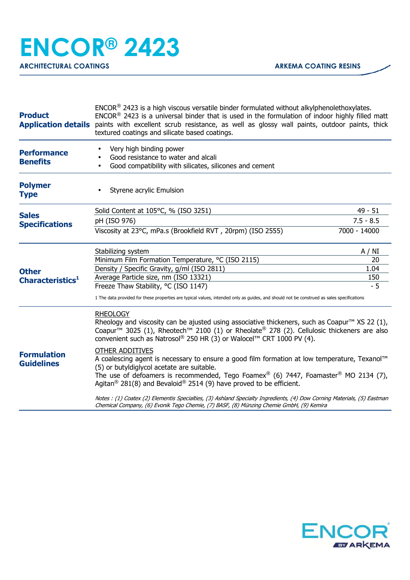| <b>Product</b>                               | $ENCOR®$ 2423 is a high viscous versatile binder formulated without alkylphenolethoxylates.<br>$ENCOR®$ 2423 is a universal binder that is used in the formulation of indoor highly filled matt<br>Application details paints with excellent scrub resistance, as well as glossy wall paints, outdoor paints, thick<br>textured coatings and silicate based coatings.                                                                                                                                                                                                                                                                                                                                                                                                                                                                                                                                          |                    |
|----------------------------------------------|----------------------------------------------------------------------------------------------------------------------------------------------------------------------------------------------------------------------------------------------------------------------------------------------------------------------------------------------------------------------------------------------------------------------------------------------------------------------------------------------------------------------------------------------------------------------------------------------------------------------------------------------------------------------------------------------------------------------------------------------------------------------------------------------------------------------------------------------------------------------------------------------------------------|--------------------|
| <b>Performance</b><br><b>Benefits</b>        | Very high binding power<br>Good resistance to water and alcali<br>Good compatibility with silicates, silicones and cement                                                                                                                                                                                                                                                                                                                                                                                                                                                                                                                                                                                                                                                                                                                                                                                      |                    |
| <b>Polymer</b><br><b>Type</b>                | Styrene acrylic Emulsion                                                                                                                                                                                                                                                                                                                                                                                                                                                                                                                                                                                                                                                                                                                                                                                                                                                                                       |                    |
| <b>Sales</b><br><b>Specifications</b>        | Solid Content at 105°C, % (ISO 3251)                                                                                                                                                                                                                                                                                                                                                                                                                                                                                                                                                                                                                                                                                                                                                                                                                                                                           | 49 - 51            |
|                                              | pH (ISO 976)                                                                                                                                                                                                                                                                                                                                                                                                                                                                                                                                                                                                                                                                                                                                                                                                                                                                                                   | $7.5 - 8.5$        |
|                                              | Viscosity at 23°C, mPa.s (Brookfield RVT, 20rpm) (ISO 2555)                                                                                                                                                                                                                                                                                                                                                                                                                                                                                                                                                                                                                                                                                                                                                                                                                                                    | 7000 - 14000       |
| <b>Other</b><br>Characteristics <sup>1</sup> | Stabilizing system                                                                                                                                                                                                                                                                                                                                                                                                                                                                                                                                                                                                                                                                                                                                                                                                                                                                                             | A / NI             |
|                                              | Minimum Film Formation Temperature, °C (ISO 2115)                                                                                                                                                                                                                                                                                                                                                                                                                                                                                                                                                                                                                                                                                                                                                                                                                                                              | 20                 |
|                                              | Density / Specific Gravity, g/ml (ISO 2811)                                                                                                                                                                                                                                                                                                                                                                                                                                                                                                                                                                                                                                                                                                                                                                                                                                                                    | 1.04               |
|                                              | Average Particle size, nm (ISO 13321)                                                                                                                                                                                                                                                                                                                                                                                                                                                                                                                                                                                                                                                                                                                                                                                                                                                                          | <u>150</u><br>$-5$ |
|                                              | Freeze Thaw Stability, °C (ISO 1147)<br>1 The data provided for these properties are typical values, intended only as guides, and should not be construed as sales specifications                                                                                                                                                                                                                                                                                                                                                                                                                                                                                                                                                                                                                                                                                                                              |                    |
| <b>Formulation</b><br><b>Guidelines</b>      | <b>RHEOLOGY</b><br>Rheology and viscosity can be ajusted using associative thickeners, such as Coapur <sup>TM</sup> XS 22 (1),<br>Coapur <sup>™</sup> 3025 (1), Rheotech <sup>™</sup> 2100 (1) or Rheolate® 278 (2). Cellulosic thickeners are also<br>convenient such as Natrosol® 250 HR (3) or Walocel™ CRT 1000 PV (4).<br><b>OTHER ADDITIVES</b><br>A coalescing agent is necessary to ensure a good film formation at low temperature, Texanol™<br>(5) or butyldiglycol acetate are suitable.<br>The use of defoamers is recommended, Tego Foamex® (6) 7447, Foamaster <sup>®</sup> MO 2134 (7),<br>Agitan <sup>®</sup> 281(8) and Bevaloid® 2514 (9) have proved to be efficient.<br>Notes : (1) Coatex (2) Elementis Specialties, (3) Ashland Specialty Ingredients, (4) Dow Corning Materials, (5) Eastman<br>Chemical Company, (6) Evonik Tego Chemie, (7) BASF, (8) Münzing Chemie GmbH, (9) Kemira |                    |